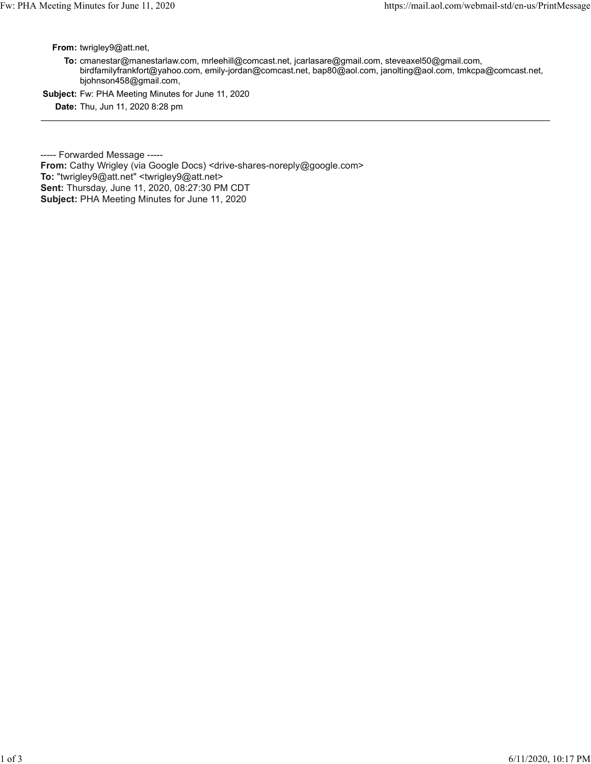From: twrigley9@att.net,

To: cmanestar@manestarlaw.com, mrleehill@comcast.net, jcarlasare@gmail.com, steveaxel50@gmail.com, birdfamilyfrankfort@yahoo.com, emily-jordan@comcast.net, bap80@aol.com, janolting@aol.com, tmkcpa@comcast.net, bjohnson458@gmail.com, Fw: PHA Meeting Minutes for June 11, 2020<br> **From:** twrigley9@att.net,<br> **From:** twrigley9@att.net,<br> **From:** twrigley9@att.net,<br> **From:** twrigley9@att.net,<br>
https://mail.aol.com/webmail-std/en-us/PrintMessage<br> **From:** twrigl

Subject: Fw: PHA Meeting Minutes for June 11, 2020

Date: Thu, Jun 11, 2020 8:28 pm

----- Forwarded Message -----

From: Cathy Wrigley (via Google Docs) <drive-shares-noreply@google.com> To: "twrigley9@att.net" <twrigley9@att.net> Sent: Thursday, June 11, 2020, 08:27:30 PM CDT Subject: PHA Meeting Minutes for June 11, 2020